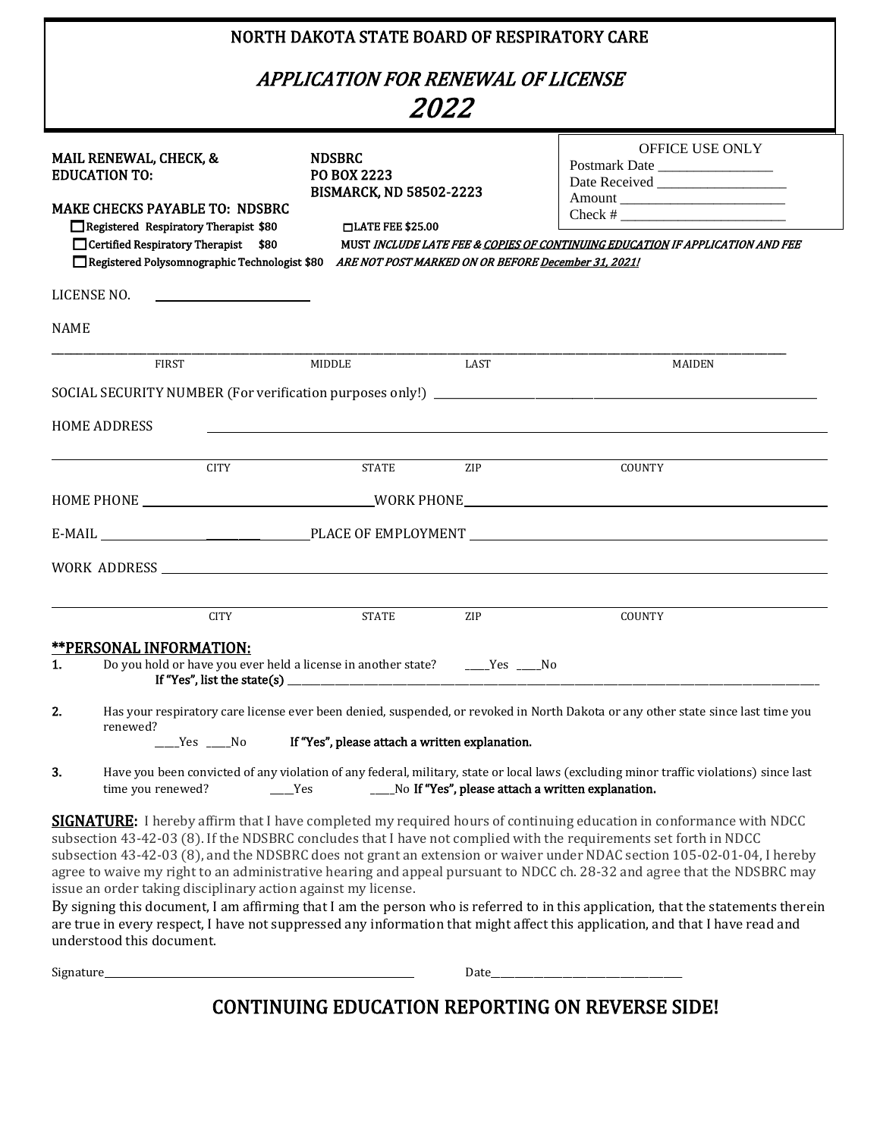| NORTH DAKOTA STATE BOARD OF RESPIRATORY CARE                                                                                                                                                                                                                                                                                                                                          |                                                                                                                                  |                 |                                                                                                                                                                                                                                                                                                                                                                                                                                                                                                                                                                                                                                                                                                                                                                              |  |  |  |  |
|---------------------------------------------------------------------------------------------------------------------------------------------------------------------------------------------------------------------------------------------------------------------------------------------------------------------------------------------------------------------------------------|----------------------------------------------------------------------------------------------------------------------------------|-----------------|------------------------------------------------------------------------------------------------------------------------------------------------------------------------------------------------------------------------------------------------------------------------------------------------------------------------------------------------------------------------------------------------------------------------------------------------------------------------------------------------------------------------------------------------------------------------------------------------------------------------------------------------------------------------------------------------------------------------------------------------------------------------------|--|--|--|--|
| APPLICATION FOR RENEWAL OF LICENSE<br><i>2022</i>                                                                                                                                                                                                                                                                                                                                     |                                                                                                                                  |                 |                                                                                                                                                                                                                                                                                                                                                                                                                                                                                                                                                                                                                                                                                                                                                                              |  |  |  |  |
| <b>NDSBRC</b><br><b>MAIL RENEWAL, CHECK, &amp;</b><br><b>EDUCATION TO:</b><br>PO BOX 2223<br><b>BISMARCK, ND 58502-2223</b><br><b>MAKE CHECKS PAYABLE TO: NDSBRC</b><br>Registered Respiratory Therapist \$80<br>$\Box$ LATE FEE \$25.00<br>Certified Respiratory Therapist \$80<br>Registered Polysomnographic Technologist \$80 ARE NOT POST MARKED ON OR BEFORE December 31, 2021! |                                                                                                                                  |                 | <b>OFFICE USE ONLY</b><br>Postmark Date<br>Check # $\frac{1}{2}$ $\frac{1}{2}$ $\frac{1}{2}$ $\frac{1}{2}$ $\frac{1}{2}$ $\frac{1}{2}$ $\frac{1}{2}$ $\frac{1}{2}$ $\frac{1}{2}$ $\frac{1}{2}$ $\frac{1}{2}$ $\frac{1}{2}$ $\frac{1}{2}$ $\frac{1}{2}$ $\frac{1}{2}$ $\frac{1}{2}$ $\frac{1}{2}$ $\frac{1}{2}$ $\frac{1}{2}$ $\frac{1}{2}$ $\frac{1}{2}$ $\frac$<br>MUST INCLUDE LATE FEE & COPIES OF CONTINUING EDUCATION IF APPLICATION AND FEE                                                                                                                                                                                                                                                                                                                            |  |  |  |  |
| LICENSE NO.<br><u> 1989 - Johann Barbara, martin amerikan basar da</u>                                                                                                                                                                                                                                                                                                                |                                                                                                                                  |                 |                                                                                                                                                                                                                                                                                                                                                                                                                                                                                                                                                                                                                                                                                                                                                                              |  |  |  |  |
| <b>NAME</b>                                                                                                                                                                                                                                                                                                                                                                           |                                                                                                                                  |                 |                                                                                                                                                                                                                                                                                                                                                                                                                                                                                                                                                                                                                                                                                                                                                                              |  |  |  |  |
| <b>FIRST</b>                                                                                                                                                                                                                                                                                                                                                                          | MIDDLE                                                                                                                           | LAST            | MAIDEN                                                                                                                                                                                                                                                                                                                                                                                                                                                                                                                                                                                                                                                                                                                                                                       |  |  |  |  |
|                                                                                                                                                                                                                                                                                                                                                                                       |                                                                                                                                  |                 |                                                                                                                                                                                                                                                                                                                                                                                                                                                                                                                                                                                                                                                                                                                                                                              |  |  |  |  |
| <b>HOME ADDRESS</b><br><b>CITY</b>                                                                                                                                                                                                                                                                                                                                                    | and the control of the control of the control of the control of the control of the control of the control of the<br><b>STATE</b> | <b>ZIP</b>      | <b>COUNTY</b>                                                                                                                                                                                                                                                                                                                                                                                                                                                                                                                                                                                                                                                                                                                                                                |  |  |  |  |
|                                                                                                                                                                                                                                                                                                                                                                                       |                                                                                                                                  |                 |                                                                                                                                                                                                                                                                                                                                                                                                                                                                                                                                                                                                                                                                                                                                                                              |  |  |  |  |
|                                                                                                                                                                                                                                                                                                                                                                                       |                                                                                                                                  |                 |                                                                                                                                                                                                                                                                                                                                                                                                                                                                                                                                                                                                                                                                                                                                                                              |  |  |  |  |
| WORK ADDRESS NORTH THE SERVICE OF THE SERVICE OF THE SERVICE OF THE SERVICE OF THE SERVICE OF THE SERVICE OF THE SERVICE OF THE SERVICE OF THE SERVICE OF THE SERVICE OF THE SERVICE OF THE SERVICE OF THE SERVICE OF THE SERV                                                                                                                                                        |                                                                                                                                  |                 |                                                                                                                                                                                                                                                                                                                                                                                                                                                                                                                                                                                                                                                                                                                                                                              |  |  |  |  |
| <b>CITY</b><br><u>**PERSONAL INFORMATION:</u><br>Do you hold or have you ever held a license in another state?<br>1.<br>If "Yes", list the state(s)                                                                                                                                                                                                                                   | <b>STATE</b>                                                                                                                     | ZIP<br>$Yes$ No | COUNTY                                                                                                                                                                                                                                                                                                                                                                                                                                                                                                                                                                                                                                                                                                                                                                       |  |  |  |  |
| 2.<br>renewed?<br>$Yes$ No                                                                                                                                                                                                                                                                                                                                                            | If "Yes", please attach a written explanation.                                                                                   |                 | Has your respiratory care license ever been denied, suspended, or revoked in North Dakota or any other state since last time you                                                                                                                                                                                                                                                                                                                                                                                                                                                                                                                                                                                                                                             |  |  |  |  |
| 3.<br>time you renewed?                                                                                                                                                                                                                                                                                                                                                               | Yes                                                                                                                              |                 | Have you been convicted of any violation of any federal, military, state or local laws (excluding minor traffic violations) since last<br>____No If "Yes", please attach a written explanation.                                                                                                                                                                                                                                                                                                                                                                                                                                                                                                                                                                              |  |  |  |  |
| issue an order taking disciplinary action against my license.<br>understood this document.                                                                                                                                                                                                                                                                                            |                                                                                                                                  |                 | <b>SIGNATURE:</b> I hereby affirm that I have completed my required hours of continuing education in conformance with NDCC<br>subsection 43-42-03 (8). If the NDSBRC concludes that I have not complied with the requirements set forth in NDCC<br>subsection 43-42-03 (8), and the NDSBRC does not grant an extension or waiver under NDAC section 105-02-01-04, I hereby<br>agree to waive my right to an administrative hearing and appeal pursuant to NDCC ch. 28-32 and agree that the NDSBRC may<br>By signing this document, I am affirming that I am the person who is referred to in this application, that the statements therein<br>are true in every respect, I have not suppressed any information that might affect this application, and that I have read and |  |  |  |  |

 $\begin{tabular}{c} Signature \end{tabular} \begin{tabular}{c} \includegraphics{2.5cm}{\textwidth} \includegraphics{2.5cm}{\textwidth} \includegraphics{2.5cm}{\textwidth} \includegraphics{2.5cm}{\textwidth} \includegraphics{2.5cm}{\textwidth} \includegraphics{2.5cm}{\textwidth} \includegraphics{2.5cm}{\textwidth} \includegraphics{2.5cm}{\textwidth} \includegraphics{2.5cm}{\textwidth} \includegraphics{2.5cm}{\textwidth} \includegraphics{2.5cm}{\textwidth} \includegraphics{2.5cm}{\textwidth} \includegraphics{2.5cm}{\textwidth} \includegraphics{2.5cm}{\textwidth} \includegraphics{2.5cm}{\textwidth} \includegraphics$ 

CONTINUING EDUCATION REPORTING ON REVERSE SIDE!